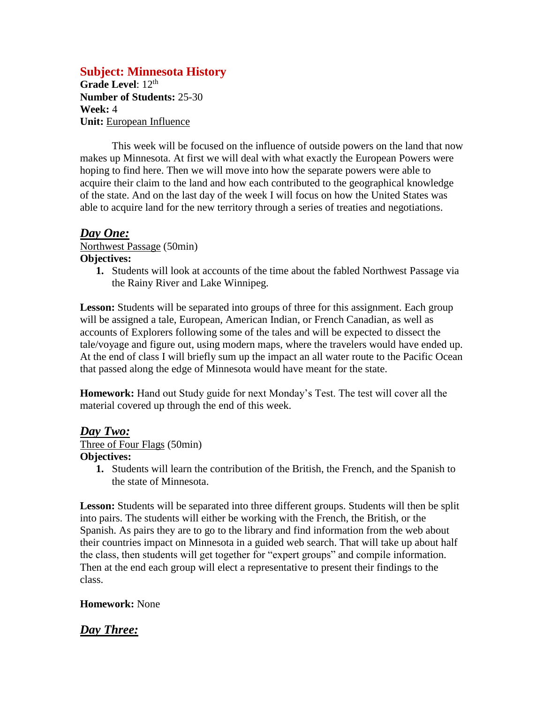# **Subject: Minnesota History**

Grade Level: 12<sup>th</sup> **Number of Students:** 25-30 **Week:** 4 **Unit:** European Influence

This week will be focused on the influence of outside powers on the land that now makes up Minnesota. At first we will deal with what exactly the European Powers were hoping to find here. Then we will move into how the separate powers were able to acquire their claim to the land and how each contributed to the geographical knowledge of the state. And on the last day of the week I will focus on how the United States was able to acquire land for the new territory through a series of treaties and negotiations.

## *Day One:*

Northwest Passage (50min) **Objectives:**

**1.** Students will look at accounts of the time about the fabled Northwest Passage via the Rainy River and Lake Winnipeg.

**Lesson:** Students will be separated into groups of three for this assignment. Each group will be assigned a tale, European, American Indian, or French Canadian, as well as accounts of Explorers following some of the tales and will be expected to dissect the tale/voyage and figure out, using modern maps, where the travelers would have ended up. At the end of class I will briefly sum up the impact an all water route to the Pacific Ocean that passed along the edge of Minnesota would have meant for the state.

**Homework:** Hand out Study guide for next Monday's Test. The test will cover all the material covered up through the end of this week.

## *Day Two:*

## Three of Four Flags (50min)

#### **Objectives:**

**1.** Students will learn the contribution of the British, the French, and the Spanish to the state of Minnesota.

**Lesson:** Students will be separated into three different groups. Students will then be split into pairs. The students will either be working with the French, the British, or the Spanish. As pairs they are to go to the library and find information from the web about their countries impact on Minnesota in a guided web search. That will take up about half the class, then students will get together for "expert groups" and compile information. Then at the end each group will elect a representative to present their findings to the class.

## **Homework:** None

# *Day Three:*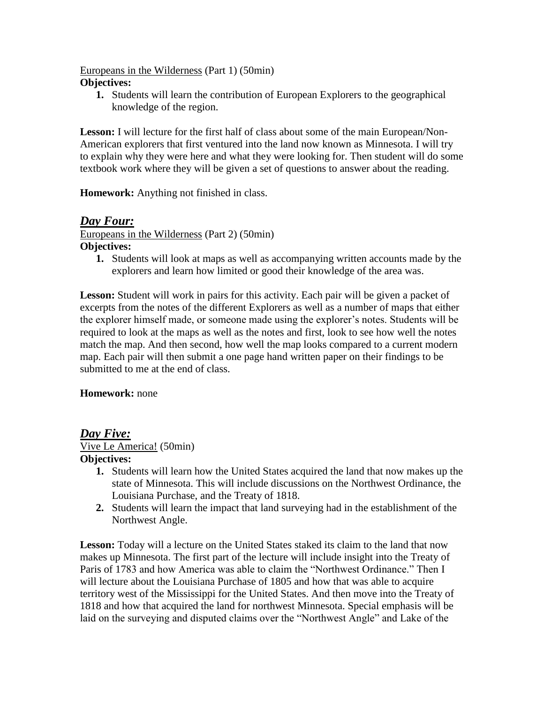#### Europeans in the Wilderness (Part 1) (50min) **Objectives:**

**1.** Students will learn the contribution of European Explorers to the geographical knowledge of the region.

**Lesson:** I will lecture for the first half of class about some of the main European/Non-American explorers that first ventured into the land now known as Minnesota. I will try to explain why they were here and what they were looking for. Then student will do some textbook work where they will be given a set of questions to answer about the reading.

**Homework:** Anything not finished in class.

## *Day Four:*

Europeans in the Wilderness (Part 2) (50min) **Objectives:**

**1.** Students will look at maps as well as accompanying written accounts made by the explorers and learn how limited or good their knowledge of the area was.

**Lesson:** Student will work in pairs for this activity. Each pair will be given a packet of excerpts from the notes of the different Explorers as well as a number of maps that either the explorer himself made, or someone made using the explorer's notes. Students will be required to look at the maps as well as the notes and first, look to see how well the notes match the map. And then second, how well the map looks compared to a current modern map. Each pair will then submit a one page hand written paper on their findings to be submitted to me at the end of class.

## **Homework:** none

## *Day Five:*

Vive Le America! (50min)

## **Objectives:**

- **1.** Students will learn how the United States acquired the land that now makes up the state of Minnesota. This will include discussions on the Northwest Ordinance, the Louisiana Purchase, and the Treaty of 1818.
- **2.** Students will learn the impact that land surveying had in the establishment of the Northwest Angle.

Lesson: Today will a lecture on the United States staked its claim to the land that now makes up Minnesota. The first part of the lecture will include insight into the Treaty of Paris of 1783 and how America was able to claim the "Northwest Ordinance." Then I will lecture about the Louisiana Purchase of 1805 and how that was able to acquire territory west of the Mississippi for the United States. And then move into the Treaty of 1818 and how that acquired the land for northwest Minnesota. Special emphasis will be laid on the surveying and disputed claims over the "Northwest Angle" and Lake of the